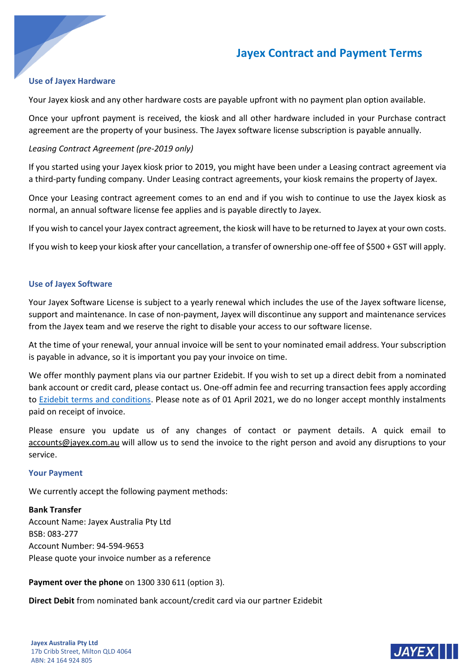# **Jayex Contract and Payment Terms**

### **Use of Jayex Hardware**

Your Jayex kiosk and any other hardware costs are payable upfront with no payment plan option available.

Once your upfront payment is received, the kiosk and all other hardware included in your Purchase contract agreement are the property of your business. The Jayex software license subscription is payable annually.

### *Leasing Contract Agreement (pre-2019 only)*

If you started using your Jayex kiosk prior to 2019, you might have been under a Leasing contract agreement via a third-party funding company. Under Leasing contract agreements, your kiosk remains the property of Jayex.

Once your Leasing contract agreement comes to an end and if you wish to continue to use the Jayex kiosk as normal, an annual software license fee applies and is payable directly to Jayex.

If you wish to cancel your Jayex contract agreement, the kiosk will have to be returned to Jayex at your own costs.

If you wish to keep your kiosk after your cancellation, a transfer of ownership one-off fee of \$500 + GST will apply.

### **Use of Jayex Software**

Your Jayex Software License is subject to a yearly renewal which includes the use of the Jayex software license, support and maintenance. In case of non-payment, Jayex will discontinue any support and maintenance services from the Jayex team and we reserve the right to disable your access to our software license.

At the time of your renewal, your annual invoice will be sent to your nominated email address. Your subscription is payable in advance, so it is important you pay your invoice on time.

We offer monthly payment plans via our partner Ezidebit. If you wish to set up a direct debit from a nominated bank account or credit card, please contact us. One-off admin fee and recurring transaction fees apply according to [Ezidebit terms and conditions.](https://static.ezidebit.com.au/ServiceAgreement/AU/1.11/DDR_Service_Agreement.html) Please note as of 01 April 2021, we do no longer accept monthly instalments paid on receipt of invoice.

Please ensure you update us of any changes of contact or payment details. A quick email to [accounts@jayex.com.au](mailto:accounts@jayex.com.au) will allow us to send the invoice to the right person and avoid any disruptions to your service.

### **Your Payment**

We currently accept the following payment methods:

#### **Bank Transfer**

Account Name: Jayex Australia Pty Ltd BSB: 083-277 Account Number: 94-594-9653 Please quote your invoice number as a reference

**Payment over the phone** on 1300 330 611 (option 3).

**Direct Debit** from nominated bank account/credit card via our partner Ezidebit